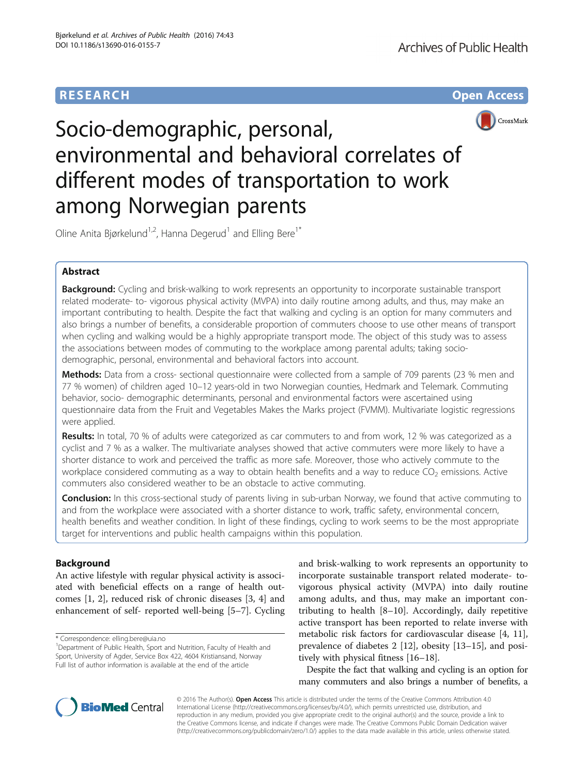## **RESEARCH CHE Open Access**



# Socio-demographic, personal, environmental and behavioral correlates of different modes of transportation to work among Norwegian parents

Oline Anita Bjørkelund<sup>1,2</sup>, Hanna Degerud<sup>1</sup> and Elling Bere<sup>1\*</sup>

## Abstract

Background: Cycling and brisk-walking to work represents an opportunity to incorporate sustainable transport related moderate- to- vigorous physical activity (MVPA) into daily routine among adults, and thus, may make an important contributing to health. Despite the fact that walking and cycling is an option for many commuters and also brings a number of benefits, a considerable proportion of commuters choose to use other means of transport when cycling and walking would be a highly appropriate transport mode. The object of this study was to assess the associations between modes of commuting to the workplace among parental adults; taking sociodemographic, personal, environmental and behavioral factors into account.

**Methods:** Data from a cross- sectional questionnaire were collected from a sample of 709 parents (23 % men and 77 % women) of children aged 10–12 years-old in two Norwegian counties, Hedmark and Telemark. Commuting behavior, socio- demographic determinants, personal and environmental factors were ascertained using questionnaire data from the Fruit and Vegetables Makes the Marks project (FVMM). Multivariate logistic regressions were applied.

**Results:** In total, 70 % of adults were categorized as car commuters to and from work, 12 % was categorized as a cyclist and 7 % as a walker. The multivariate analyses showed that active commuters were more likely to have a shorter distance to work and perceived the traffic as more safe. Moreover, those who actively commute to the workplace considered commuting as a way to obtain health benefits and a way to reduce  $CO<sub>2</sub>$  emissions. Active commuters also considered weather to be an obstacle to active commuting.

**Conclusion:** In this cross-sectional study of parents living in sub-urban Norway, we found that active commuting to and from the workplace were associated with a shorter distance to work, traffic safety, environmental concern, health benefits and weather condition. In light of these findings, cycling to work seems to be the most appropriate target for interventions and public health campaigns within this population.

## Background

An active lifestyle with regular physical activity is associated with beneficial effects on a range of health outcomes [\[1](#page-7-0), [2\]](#page-7-0), reduced risk of chronic diseases [\[3](#page-7-0), [4\]](#page-7-0) and enhancement of self- reported well-being [\[5](#page-7-0)–[7\]](#page-7-0). Cycling

\* Correspondence: [elling.bere@uia.no](mailto:elling.bere@uia.no) <sup>1</sup>

<sup>1</sup>Department of Public Health, Sport and Nutrition, Faculty of Health and Sport, University of Agder, Service Box 422, 4604 Kristiansand, Norway Full list of author information is available at the end of the article

and brisk-walking to work represents an opportunity to incorporate sustainable transport related moderate- tovigorous physical activity (MVPA) into daily routine among adults, and thus, may make an important contributing to health [[8](#page-7-0)–[10](#page-7-0)]. Accordingly, daily repetitive active transport has been reported to relate inverse with metabolic risk factors for cardiovascular disease [\[4](#page-7-0), [11](#page-7-0)], prevalence of diabetes 2 [\[12](#page-7-0)], obesity [\[13](#page-7-0)–[15\]](#page-7-0), and positively with physical fitness [[16](#page-7-0)–[18](#page-7-0)].

Despite the fact that walking and cycling is an option for many commuters and also brings a number of benefits, a



© 2016 The Author(s). Open Access This article is distributed under the terms of the Creative Commons Attribution 4.0 International License [\(http://creativecommons.org/licenses/by/4.0/](http://creativecommons.org/licenses/by/4.0/)), which permits unrestricted use, distribution, and reproduction in any medium, provided you give appropriate credit to the original author(s) and the source, provide a link to the Creative Commons license, and indicate if changes were made. The Creative Commons Public Domain Dedication waiver [\(http://creativecommons.org/publicdomain/zero/1.0/](http://creativecommons.org/publicdomain/zero/1.0/)) applies to the data made available in this article, unless otherwise stated.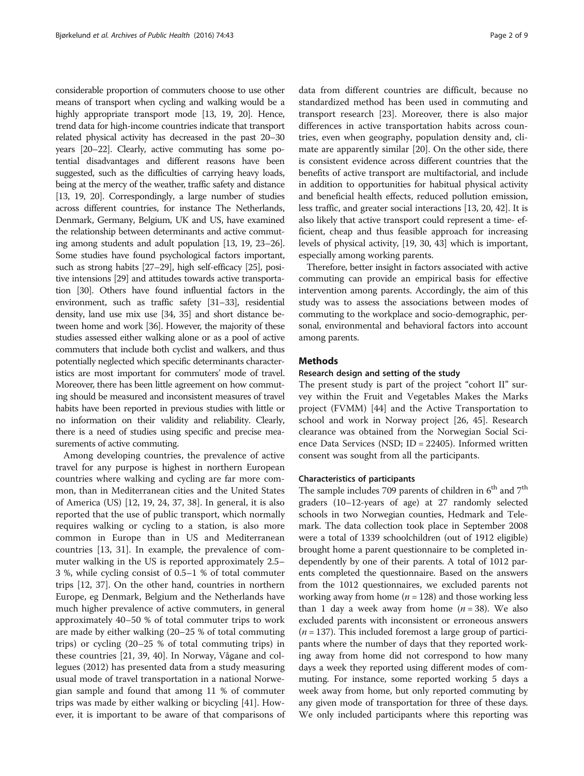considerable proportion of commuters choose to use other means of transport when cycling and walking would be a highly appropriate transport mode [\[13](#page-7-0), [19, 20\]](#page-7-0). Hence, trend data for high-income countries indicate that transport related physical activity has decreased in the past 20–30 years [[20](#page-7-0)–[22](#page-7-0)]. Clearly, active commuting has some potential disadvantages and different reasons have been suggested, such as the difficulties of carrying heavy loads, being at the mercy of the weather, traffic safety and distance [[13](#page-7-0), [19](#page-7-0), [20](#page-7-0)]. Correspondingly, a large number of studies across different countries, for instance The Netherlands, Denmark, Germany, Belgium, UK and US, have examined the relationship between determinants and active commuting among students and adult population [\[13, 19, 23](#page-7-0)–[26](#page-7-0)]. Some studies have found psychological factors important, such as strong habits [\[27](#page-7-0)–[29](#page-7-0)], high self-efficacy [\[25\]](#page-7-0), positive intensions [\[29](#page-7-0)] and attitudes towards active transportation [\[30\]](#page-7-0). Others have found influential factors in the environment, such as traffic safety [\[31](#page-7-0)–[33\]](#page-7-0), residential density, land use mix use [\[34, 35](#page-7-0)] and short distance between home and work [[36](#page-7-0)]. However, the majority of these studies assessed either walking alone or as a pool of active commuters that include both cyclist and walkers, and thus potentially neglected which specific determinants characteristics are most important for commuters' mode of travel. Moreover, there has been little agreement on how commuting should be measured and inconsistent measures of travel habits have been reported in previous studies with little or no information on their validity and reliability. Clearly, there is a need of studies using specific and precise measurements of active commuting.

Among developing countries, the prevalence of active travel for any purpose is highest in northern European countries where walking and cycling are far more common, than in Mediterranean cities and the United States of America (US) [[12](#page-7-0), [19](#page-7-0), [24, 37, 38\]](#page-7-0). In general, it is also reported that the use of public transport, which normally requires walking or cycling to a station, is also more common in Europe than in US and Mediterranean countries [\[13, 31](#page-7-0)]. In example, the prevalence of commuter walking in the US is reported approximately 2.5– 3 %, while cycling consist of 0.5–1 % of total commuter trips [[12, 37](#page-7-0)]. On the other hand, countries in northern Europe, eg Denmark, Belgium and the Netherlands have much higher prevalence of active commuters, in general approximately 40–50 % of total commuter trips to work are made by either walking (20–25 % of total commuting trips) or cycling (20–25 % of total commuting trips) in these countries [\[21](#page-7-0), [39, 40\]](#page-7-0). In Norway, Vågane and collegues (2012) has presented data from a study measuring usual mode of travel transportation in a national Norwegian sample and found that among 11 % of commuter trips was made by either walking or bicycling [\[41](#page-7-0)]. However, it is important to be aware of that comparisons of

data from different countries are difficult, because no standardized method has been used in commuting and transport research [[23\]](#page-7-0). Moreover, there is also major differences in active transportation habits across countries, even when geography, population density and, climate are apparently similar [[20\]](#page-7-0). On the other side, there is consistent evidence across different countries that the benefits of active transport are multifactorial, and include in addition to opportunities for habitual physical activity and beneficial health effects, reduced pollution emission, less traffic, and greater social interactions [\[13](#page-7-0), [20, 42](#page-7-0)]. It is also likely that active transport could represent a time- efficient, cheap and thus feasible approach for increasing levels of physical activity, [\[19, 30,](#page-7-0) [43\]](#page-8-0) which is important, especially among working parents.

Therefore, better insight in factors associated with active commuting can provide an empirical basis for effective intervention among parents. Accordingly, the aim of this study was to assess the associations between modes of commuting to the workplace and socio-demographic, personal, environmental and behavioral factors into account among parents.

## Methods

## Research design and setting of the study

The present study is part of the project "cohort II" survey within the Fruit and Vegetables Makes the Marks project (FVMM) [\[44](#page-8-0)] and the Active Transportation to school and work in Norway project [[26,](#page-7-0) [45](#page-8-0)]. Research clearance was obtained from the Norwegian Social Science Data Services (NSD; ID = 22405). Informed written consent was sought from all the participants.

## Characteristics of participants

The sample includes 709 parents of children in  $6<sup>th</sup>$  and  $7<sup>th</sup>$ graders (10–12-years of age) at 27 randomly selected schools in two Norwegian counties, Hedmark and Telemark. The data collection took place in September 2008 were a total of 1339 schoolchildren (out of 1912 eligible) brought home a parent questionnaire to be completed independently by one of their parents. A total of 1012 parents completed the questionnaire. Based on the answers from the 1012 questionnaires, we excluded parents not working away from home ( $n = 128$ ) and those working less than 1 day a week away from home  $(n = 38)$ . We also excluded parents with inconsistent or erroneous answers  $(n = 137)$ . This included foremost a large group of participants where the number of days that they reported working away from home did not correspond to how many days a week they reported using different modes of commuting. For instance, some reported working 5 days a week away from home, but only reported commuting by any given mode of transportation for three of these days. We only included participants where this reporting was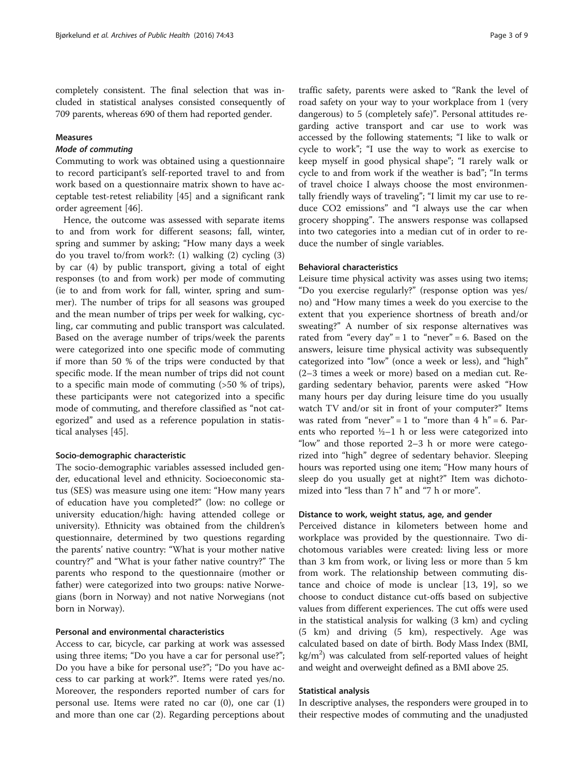completely consistent. The final selection that was included in statistical analyses consisted consequently of 709 parents, whereas 690 of them had reported gender.

## Measures

## Mode of commuting

Commuting to work was obtained using a questionnaire to record participant's self-reported travel to and from work based on a questionnaire matrix shown to have acceptable test-retest reliability [[45\]](#page-8-0) and a significant rank order agreement [[46](#page-8-0)].

Hence, the outcome was assessed with separate items to and from work for different seasons; fall, winter, spring and summer by asking; "How many days a week do you travel to/from work?: (1) walking (2) cycling (3) by car (4) by public transport, giving a total of eight responses (to and from work) per mode of commuting (ie to and from work for fall, winter, spring and summer). The number of trips for all seasons was grouped and the mean number of trips per week for walking, cycling, car commuting and public transport was calculated. Based on the average number of trips/week the parents were categorized into one specific mode of commuting if more than 50 % of the trips were conducted by that specific mode. If the mean number of trips did not count to a specific main mode of commuting (>50 % of trips), these participants were not categorized into a specific mode of commuting, and therefore classified as "not categorized" and used as a reference population in statistical analyses [[45\]](#page-8-0).

## Socio-demographic characteristic

The socio-demographic variables assessed included gender, educational level and ethnicity. Socioeconomic status (SES) was measure using one item: "How many years of education have you completed?" (low: no college or university education/high: having attended college or university). Ethnicity was obtained from the children's questionnaire, determined by two questions regarding the parents' native country: "What is your mother native country?" and "What is your father native country?" The parents who respond to the questionnaire (mother or father) were categorized into two groups: native Norwegians (born in Norway) and not native Norwegians (not born in Norway).

## Personal and environmental characteristics

Access to car, bicycle, car parking at work was assessed using three items; "Do you have a car for personal use?"; Do you have a bike for personal use?"; "Do you have access to car parking at work?". Items were rated yes/no. Moreover, the responders reported number of cars for personal use. Items were rated no car  $(0)$ , one car  $(1)$ and more than one car (2). Regarding perceptions about

traffic safety, parents were asked to "Rank the level of road safety on your way to your workplace from 1 (very dangerous) to 5 (completely safe)". Personal attitudes regarding active transport and car use to work was accessed by the following statements; "I like to walk or cycle to work"; "I use the way to work as exercise to keep myself in good physical shape"; "I rarely walk or cycle to and from work if the weather is bad"; "In terms of travel choice I always choose the most environmentally friendly ways of traveling"; "I limit my car use to reduce CO2 emissions" and "I always use the car when grocery shopping". The answers response was collapsed into two categories into a median cut of in order to reduce the number of single variables.

## Behavioral characteristics

Leisure time physical activity was asses using two items; "Do you exercise regularly?" (response option was yes/ no) and "How many times a week do you exercise to the extent that you experience shortness of breath and/or sweating?" A number of six response alternatives was rated from "every day" = 1 to "never" = 6. Based on the answers, leisure time physical activity was subsequently categorized into "low" (once a week or less), and "high" (2–3 times a week or more) based on a median cut. Regarding sedentary behavior, parents were asked "How many hours per day during leisure time do you usually watch TV and/or sit in front of your computer?" Items was rated from "never" = 1 to "more than  $4 h$ " = 6. Parents who reported  $\frac{1}{2}$ –1 h or less were categorized into "low" and those reported 2–3 h or more were categorized into "high" degree of sedentary behavior. Sleeping hours was reported using one item; "How many hours of sleep do you usually get at night?" Item was dichotomized into "less than 7 h" and "7 h or more".

## Distance to work, weight status, age, and gender

Perceived distance in kilometers between home and workplace was provided by the questionnaire. Two dichotomous variables were created: living less or more than 3 km from work, or living less or more than 5 km from work. The relationship between commuting distance and choice of mode is unclear [\[13](#page-7-0), [19\]](#page-7-0), so we choose to conduct distance cut-offs based on subjective values from different experiences. The cut offs were used in the statistical analysis for walking (3 km) and cycling (5 km) and driving (5 km), respectively. Age was calculated based on date of birth. Body Mass Index (BMI, kg/m<sup>2</sup>) was calculated from self-reported values of height and weight and overweight defined as a BMI above 25.

## Statistical analysis

In descriptive analyses, the responders were grouped in to their respective modes of commuting and the unadjusted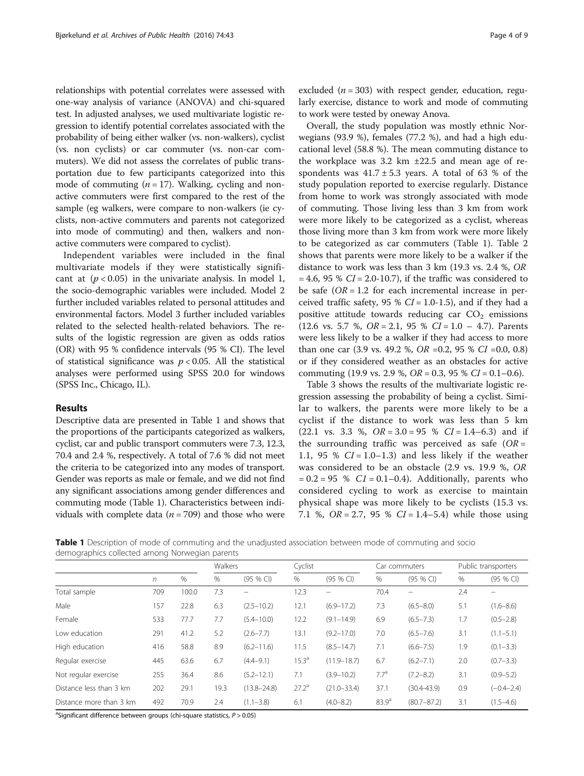relationships with potential correlates were assessed with one-way analysis of variance (ANOVA) and chi-squared test. In adjusted analyses, we used multivariate logistic regression to identify potential correlates associated with the probability of being either walker (vs. non-walkers), cyclist (vs. non cyclists) or car commuter (vs. non-car commuters). We did not assess the correlates of public transportation due to few participants categorized into this mode of commuting  $(n = 17)$ . Walking, cycling and nonactive commuters were first compared to the rest of the sample (eg walkers, were compare to non-walkers (ie cyclists, non-active commuters and parents not categorized into mode of commuting) and then, walkers and nonactive commuters were compared to cyclist).

Independent variables were included in the final multivariate models if they were statistically significant at  $(p < 0.05)$  in the univariate analysis. In model 1, the socio-demographic variables were included. Model 2 further included variables related to personal attitudes and environmental factors. Model 3 further included variables related to the selected health-related behaviors. The results of the logistic regression are given as odds ratios (OR) with 95 % confidence intervals (95 % CI). The level of statistical significance was  $p < 0.05$ . All the statistical analyses were performed using SPSS 20.0 for windows (SPSS Inc., Chicago, IL).

## Results

Descriptive data are presented in Table 1 and shows that the proportions of the participants categorized as walkers, cyclist, car and public transport commuters were 7.3, 12.3, 70.4 and 2.4 %, respectively. A total of 7.6 % did not meet the criteria to be categorized into any modes of transport. Gender was reports as male or female, and we did not find any significant associations among gender differences and commuting mode (Table 1). Characteristics between individuals with complete data ( $n = 709$ ) and those who were

excluded ( $n = 303$ ) with respect gender, education, regularly exercise, distance to work and mode of commuting to work were tested by oneway Anova.

Overall, the study population was mostly ethnic Norwegians (93.9 %), females (77.2 %), and had a high educational level (58.8 %). The mean commuting distance to the workplace was 3.2 km ±22.5 and mean age of respondents was  $41.7 \pm 5.3$  years. A total of 63 % of the study population reported to exercise regularly. Distance from home to work was strongly associated with mode of commuting. Those living less than 3 km from work were more likely to be categorized as a cyclist, whereas those living more than 3 km from work were more likely to be categorized as car commuters (Table 1). Table [2](#page-4-0) shows that parents were more likely to be a walker if the distance to work was less than 3 km (19.3 vs. 2.4 %, OR  $= 4.6$ , 95 %  $CI = 2.0 - 10.7$ , if the traffic was considered to be safe  $(OR = 1.2$  for each incremental increase in perceived traffic safety, 95 %  $CI = 1.0-1.5$ ), and if they had a positive attitude towards reducing car  $CO<sub>2</sub>$  emissions (12.6 vs. 5.7 %,  $OR = 2.1$ , 95 %  $CI = 1.0 - 4.7$ ). Parents were less likely to be a walker if they had access to more than one car  $(3.9 \text{ vs. } 49.2 \text{ %}, \text{ } OR = 0.2, \text{ } 95 \text{ % } CI = 0.0, \text{ } 0.8)$ or if they considered weather as an obstacles for active commuting (19.9 vs. 2.9 %,  $OR = 0.3$ , 95 %  $CI = 0.1 - 0.6$ ).

Table [3](#page-4-0) shows the results of the multivariate logistic regression assessing the probability of being a cyclist. Similar to walkers, the parents were more likely to be a cyclist if the distance to work was less than 5 km  $(22.1 \text{ vs. } 3.3 \text{ %}, \text{ } OR = 3.0 = 95 \text{ % } CI = 1.4 - 6.3)$  and if the surrounding traffic was perceived as safe  $(OR =$ 1.1, 95 %  $CI = 1.0-1.3$  and less likely if the weather was considered to be an obstacle (2.9 vs. 19.9 %, OR  $= 0.2 = 95$  %  $CI = 0.1 - 0.4$ ). Additionally, parents who considered cycling to work as exercise to maintain physical shape was more likely to be cyclists (15.3 vs. 7.1 %,  $OR = 2.7$ , 95 %  $CI = 1.4 - 5.4$ ) while those using

Table 1 Description of mode of commuting and the unadjusted association between mode of commuting and socio demographics collected among Norwegian parents

|                         |     |       | Walkers |                 | Cyclist           |                          | Car commuters     |                   | Public transporters |                |
|-------------------------|-----|-------|---------|-----------------|-------------------|--------------------------|-------------------|-------------------|---------------------|----------------|
|                         | n   | %     | %       | $(95%$ CI)      | %                 | $(95%$ CI)               | $\%$              | $(95%$ CI)        | %                   | (95 % CI)      |
| Total sample            | 709 | 100.0 | 7.3     |                 | 12.3              | $\overline{\phantom{0}}$ | 70.4              | $\qquad \qquad -$ | 2.4                 |                |
| Male                    | 157 | 22.8  | 6.3     | $(2.5 - 10.2)$  | 12.1              | $(6.9 - 17.2)$           | 7.3               | $(6.5 - 8.0)$     | 5.1                 | $(1.6 - 8.6)$  |
| Female                  | 533 | 77.7  | 7.7     | $(5.4 - 10.0)$  | 12.2              | $(9.1 - 14.9)$           | 6.9               | $(6.5 - 7.3)$     | 1.7                 | $(0.5 - 2.8)$  |
| Low education           | 291 | 41.2  | 5.2     | $(2.6 - 7.7)$   | 13.1              | $(9.2 - 17.0)$           | 7.0               | $(6.5 - 7.6)$     | 3.1                 | $(1.1 - 5.1)$  |
| High education          | 416 | 58.8  | 8.9     | $(6.2 - 11.6)$  | 11.5              | $(8.5 - 14.7)$           | 7.1               | $(6.6 - 7.5)$     | 1.9                 | $(0.1 - 3.3)$  |
| Regular exercise        | 445 | 63.6  | 6.7     | $(4.4 - 9.1)$   | 15.3 <sup>a</sup> | $(11.9 - 18.7)$          | 6.7               | $(6.2 - 7.1)$     | 2.0                 | $(0.7 - 3.3)$  |
| Not regular exercise    | 255 | 36.4  | 8.6     | $(5.2 - 12.1)$  | 7.1               | $(3.9 - 10.2)$           | 7.7 <sup>a</sup>  | $(7.2 - 8.2)$     | 3.1                 | $(0.9 - 5.2)$  |
| Distance less than 3 km | 202 | 29.1  | 19.3    | $(13.8 - 24.8)$ | $27.2^a$          | $(21.0 - 33.4)$          | 37.1              | $(30.4 - 43.9)$   | 0.9                 | $(-0.4 - 2.4)$ |
| Distance more than 3 km | 492 | 70.9  | 2.4     | $(1.1 - 3.8)$   | 6.1               | $(4.0 - 8.2)$            | 83.9 <sup>a</sup> | $(80.7 - 87.2)$   | 3.1                 | $(1.5 - 4.6)$  |

<sup>a</sup>Significant difference between groups (chi-square statistics, P > 0.05)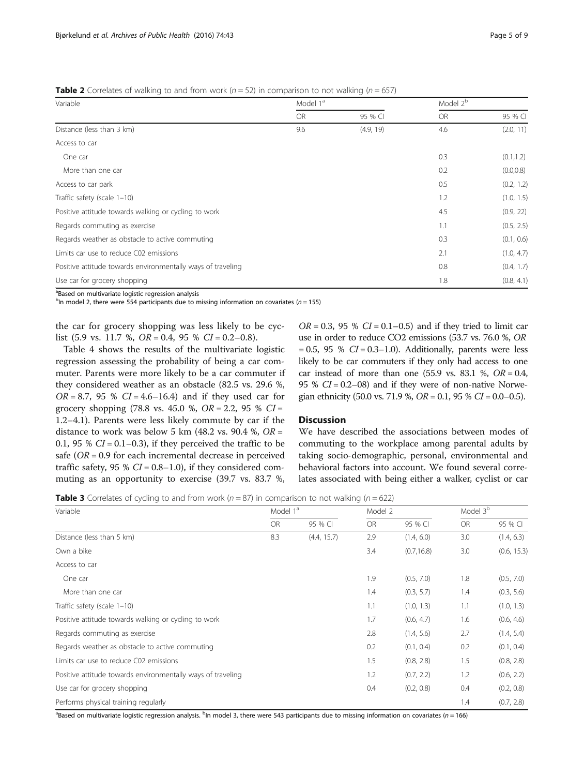<span id="page-4-0"></span>**Table 2** Correlates of walking to and from work ( $n = 52$ ) in comparison to not walking ( $n = 657$ )

| Variable                                                    | Model 1 <sup>ª</sup> |           | Model 2 <sup>b</sup> |            |
|-------------------------------------------------------------|----------------------|-----------|----------------------|------------|
|                                                             | <b>OR</b>            | 95 % CI   | <b>OR</b>            | 95 % CI    |
| Distance (less than 3 km)                                   | 9.6                  | (4.9, 19) | 4.6                  | (2.0, 11)  |
| Access to car                                               |                      |           |                      |            |
| One car                                                     |                      |           | 0.3                  | (0.1, 1.2) |
| More than one car                                           |                      |           | 0.2                  | (0.0, 0.8) |
| Access to car park                                          |                      |           | 0.5                  | (0.2, 1.2) |
| Traffic safety (scale 1-10)                                 |                      |           | 1.2                  | (1.0, 1.5) |
| Positive attitude towards walking or cycling to work        |                      |           | 4.5                  | (0.9, 22)  |
| Regards commuting as exercise                               |                      |           | 1.1                  | (0.5, 2.5) |
| Regards weather as obstacle to active commuting             |                      |           | 0.3                  | (0.1, 0.6) |
| Limits car use to reduce C02 emissions                      |                      |           | 2.1                  | (1.0, 4.7) |
| Positive attitude towards environmentally ways of traveling |                      |           | 0.8                  | (0.4, 1.7) |
| Use car for grocery shopping                                |                      |           | 1.8                  | (0.8, 4.1) |

<sup>a</sup>Based on multivariate logistic regression analysis

 $^{\text{b}}$ In model 2, there were 554 participants due to missing information on covariates (n = 155)

the car for grocery shopping was less likely to be cyclist (5.9 vs. 11.7 %,  $OR = 0.4$ , 95 %  $CI = 0.2 - 0.8$ ).

Table [4](#page-5-0) shows the results of the multivariate logistic regression assessing the probability of being a car commuter. Parents were more likely to be a car commuter if they considered weather as an obstacle (82.5 vs. 29.6 %,  $OR = 8.7$ , 95 %  $CI = 4.6 - 16.4$ ) and if they used car for grocery shopping (78.8 vs. 45.0 %,  $OR = 2.2$ , 95 %  $CI =$ 1.2–4.1). Parents were less likely commute by car if the distance to work was below 5 km  $(48.2 \text{ vs. } 90.4 \text{ %}, \text{ } OR =$ 0.1, 95 %  $CI = 0.1 - 0.3$ ), if they perceived the traffic to be safe ( $OR = 0.9$  for each incremental decrease in perceived traffic safety, 95 %  $CI = 0.8-1.0$ ), if they considered commuting as an opportunity to exercise (39.7 vs. 83.7 %,

 $OR = 0.3$ , 95 %  $CI = 0.1 - 0.5$ ) and if they tried to limit car use in order to reduce CO2 emissions (53.7 vs. 76.0 %, OR  $= 0.5$ , 95 %  $CI = 0.3-1.0$ ). Additionally, parents were less likely to be car commuters if they only had access to one car instead of more than one  $(55.9 \text{ vs. } 83.1 \text{ %}, \text{ } OR = 0.4,$ 95 %  $CI = 0.2 - 08$ ) and if they were of non-native Norwegian ethnicity (50.0 vs. 71.9 %,  $OR = 0.1$ , 95 %  $CI = 0.0 - 0.5$ ).

## Discussion

We have described the associations between modes of commuting to the workplace among parental adults by taking socio-demographic, personal, environmental and behavioral factors into account. We found several correlates associated with being either a walker, cyclist or car

**Table 3** Correlates of cycling to and from work ( $n = 87$ ) in comparison to not walking ( $n = 622$ )

| Variable                                                    | Model 1 <sup>a</sup> |             | Model 2   |             | Model 3 <sup>b</sup> |             |
|-------------------------------------------------------------|----------------------|-------------|-----------|-------------|----------------------|-------------|
|                                                             | <b>OR</b>            | 95 % CI     | <b>OR</b> | 95 % CI     | <b>OR</b>            | 95 % CI     |
| Distance (less than 5 km)                                   | 8.3                  | (4.4, 15.7) | 2.9       | (1.4, 6.0)  | 3.0                  | (1.4, 6.3)  |
| Own a bike                                                  |                      |             | 3.4       | (0.7, 16.8) | 3.0                  | (0.6, 15.3) |
| Access to car                                               |                      |             |           |             |                      |             |
| One car                                                     |                      |             | 1.9       | (0.5, 7.0)  | 1.8                  | (0.5, 7.0)  |
| More than one car                                           |                      |             | 1.4       | (0.3, 5.7)  | 1.4                  | (0.3, 5.6)  |
| Traffic safety (scale 1-10)                                 |                      |             | 1.1       | (1.0, 1.3)  | 1.1                  | (1.0, 1.3)  |
| Positive attitude towards walking or cycling to work        |                      |             | 1.7       | (0.6, 4.7)  | 1.6                  | (0.6, 4.6)  |
| Regards commuting as exercise                               |                      |             | 2.8       | (1.4, 5.6)  | 2.7                  | (1.4, 5.4)  |
| Regards weather as obstacle to active commuting             |                      |             | 0.2       | (0.1, 0.4)  | 0.2                  | (0.1, 0.4)  |
| Limits car use to reduce C02 emissions                      |                      |             | 1.5       | (0.8, 2.8)  | 1.5                  | (0.8, 2.8)  |
| Positive attitude towards environmentally ways of traveling |                      |             | 1.2       | (0.7, 2.2)  | 1.2                  | (0.6, 2.2)  |
| Use car for grocery shopping                                |                      |             | 0.4       | (0.2, 0.8)  | 0.4                  | (0.2, 0.8)  |
| Performs physical training regularly                        |                      |             |           |             | 1.4                  | (0.7, 2.8)  |

<sup>a</sup>Based on multivariate logistic regression analysis. <sup>b</sup>In model 3, there were 543 participants due to missing information on covariates (*n* = 166)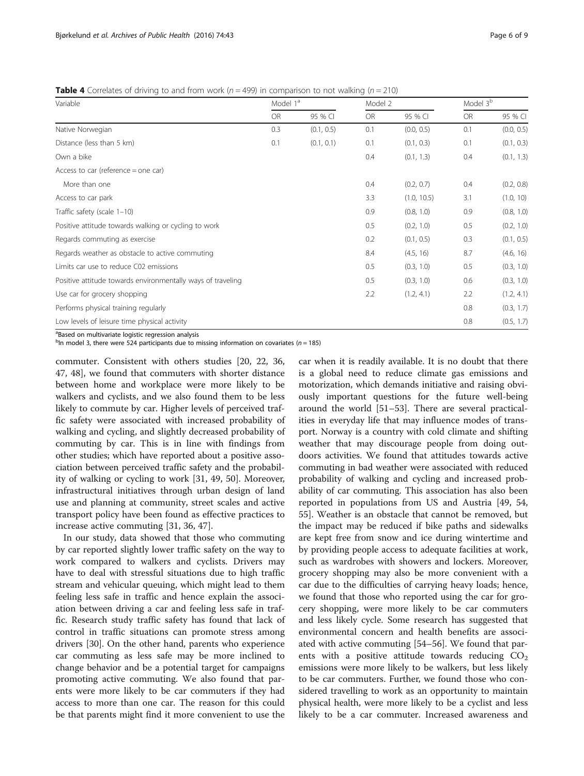<span id="page-5-0"></span>**Table 4** Correlates of driving to and from work ( $n = 499$ ) in comparison to not walking ( $n = 210$ )

| Variable                                                    | Model 1 <sup>ª</sup> |            | Model 2   |             | Model 3 <sup>b</sup> |            |
|-------------------------------------------------------------|----------------------|------------|-----------|-------------|----------------------|------------|
|                                                             | <b>OR</b>            | 95 % CI    | <b>OR</b> | 95 % CI     | <b>OR</b>            | 95 % CI    |
| Native Norwegian                                            | 0.3                  | (0.1, 0.5) | 0.1       | (0.0, 0.5)  | 0.1                  | (0.0, 0.5) |
| Distance (less than 5 km)                                   | 0.1                  | (0.1, 0.1) | 0.1       | (0.1, 0.3)  | 0.1                  | (0.1, 0.3) |
| Own a bike                                                  |                      |            | 0.4       | (0.1, 1.3)  | 0.4                  | (0.1, 1.3) |
| Access to car (reference = one car)                         |                      |            |           |             |                      |            |
| More than one                                               |                      |            | 0.4       | (0.2, 0.7)  | 0.4                  | (0.2, 0.8) |
| Access to car park                                          |                      |            | 3.3       | (1.0, 10.5) | 3.1                  | (1.0, 10)  |
| Traffic safety (scale 1-10)                                 |                      |            | 0.9       | (0.8, 1.0)  | 0.9                  | (0.8, 1.0) |
| Positive attitude towards walking or cycling to work        |                      |            | 0.5       | (0.2, 1.0)  | 0.5                  | (0.2, 1.0) |
| Regards commuting as exercise                               |                      |            | 0.2       | (0.1, 0.5)  | 0.3                  | (0.1, 0.5) |
| Regards weather as obstacle to active commuting             |                      |            | 8.4       | (4.5, 16)   | 8.7                  | (4.6, 16)  |
| Limits car use to reduce C02 emissions                      |                      |            | 0.5       | (0.3, 1.0)  | 0.5                  | (0.3, 1.0) |
| Positive attitude towards environmentally ways of traveling |                      |            | 0.5       | (0.3, 1.0)  | 0.6                  | (0.3, 1.0) |
| Use car for grocery shopping                                |                      |            | 2.2       | (1.2, 4.1)  | 2.2                  | (1.2, 4.1) |
| Performs physical training regularly                        |                      |            |           |             | 0.8                  | (0.3, 1.7) |
| Low levels of leisure time physical activity                |                      |            |           |             | 0.8                  | (0.5, 1.7) |

<sup>a</sup>Based on multivariate logistic regression analysis

 $^{\text{b}}$ In model 3, there were 524 participants due to missing information on covariates (n = 185)

commuter. Consistent with others studies [[20](#page-7-0), [22](#page-7-0), [36](#page-7-0), [47, 48](#page-8-0)], we found that commuters with shorter distance between home and workplace were more likely to be walkers and cyclists, and we also found them to be less likely to commute by car. Higher levels of perceived traffic safety were associated with increased probability of walking and cycling, and slightly decreased probability of commuting by car. This is in line with findings from other studies; which have reported about a positive association between perceived traffic safety and the probability of walking or cycling to work [[31](#page-7-0), [49, 50](#page-8-0)]. Moreover, infrastructural initiatives through urban design of land use and planning at community, street scales and active transport policy have been found as effective practices to increase active commuting [\[31](#page-7-0), [36](#page-7-0), [47\]](#page-8-0).

In our study, data showed that those who commuting by car reported slightly lower traffic safety on the way to work compared to walkers and cyclists. Drivers may have to deal with stressful situations due to high traffic stream and vehicular queuing, which might lead to them feeling less safe in traffic and hence explain the association between driving a car and feeling less safe in traffic. Research study traffic safety has found that lack of control in traffic situations can promote stress among drivers [[30\]](#page-7-0). On the other hand, parents who experience car commuting as less safe may be more inclined to change behavior and be a potential target for campaigns promoting active commuting. We also found that parents were more likely to be car commuters if they had access to more than one car. The reason for this could be that parents might find it more convenient to use the

car when it is readily available. It is no doubt that there is a global need to reduce climate gas emissions and motorization, which demands initiative and raising obviously important questions for the future well-being around the world [[51](#page-8-0)–[53](#page-8-0)]. There are several practicalities in everyday life that may influence modes of transport. Norway is a country with cold climate and shifting weather that may discourage people from doing outdoors activities. We found that attitudes towards active commuting in bad weather were associated with reduced probability of walking and cycling and increased probability of car commuting. This association has also been reported in populations from US and Austria [[49, 54](#page-8-0), [55\]](#page-8-0). Weather is an obstacle that cannot be removed, but the impact may be reduced if bike paths and sidewalks are kept free from snow and ice during wintertime and by providing people access to adequate facilities at work, such as wardrobes with showers and lockers. Moreover, grocery shopping may also be more convenient with a car due to the difficulties of carrying heavy loads; hence, we found that those who reported using the car for grocery shopping, were more likely to be car commuters and less likely cycle. Some research has suggested that environmental concern and health benefits are associated with active commuting [\[54](#page-8-0)–[56\]](#page-8-0). We found that parents with a positive attitude towards reducing  $CO<sub>2</sub>$ emissions were more likely to be walkers, but less likely to be car commuters. Further, we found those who considered travelling to work as an opportunity to maintain physical health, were more likely to be a cyclist and less likely to be a car commuter. Increased awareness and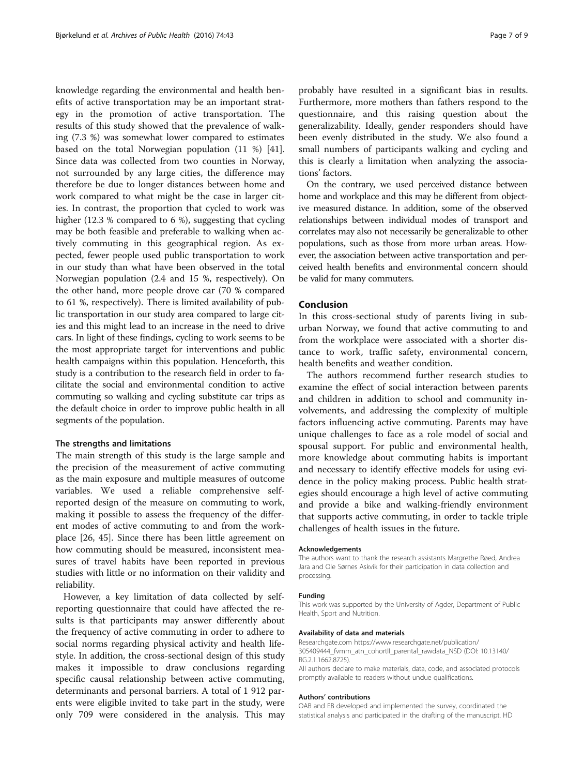knowledge regarding the environmental and health benefits of active transportation may be an important strategy in the promotion of active transportation. The results of this study showed that the prevalence of walking (7.3 %) was somewhat lower compared to estimates based on the total Norwegian population (11 %) [\[41](#page-7-0)]. Since data was collected from two counties in Norway, not surrounded by any large cities, the difference may therefore be due to longer distances between home and work compared to what might be the case in larger cities. In contrast, the proportion that cycled to work was higher (12.3 % compared to 6 %), suggesting that cycling may be both feasible and preferable to walking when actively commuting in this geographical region. As expected, fewer people used public transportation to work in our study than what have been observed in the total Norwegian population (2.4 and 15 %, respectively). On the other hand, more people drove car (70 % compared to 61 %, respectively). There is limited availability of public transportation in our study area compared to large cities and this might lead to an increase in the need to drive cars. In light of these findings, cycling to work seems to be the most appropriate target for interventions and public health campaigns within this population. Henceforth, this study is a contribution to the research field in order to facilitate the social and environmental condition to active commuting so walking and cycling substitute car trips as the default choice in order to improve public health in all segments of the population.

#### The strengths and limitations

The main strength of this study is the large sample and the precision of the measurement of active commuting as the main exposure and multiple measures of outcome variables. We used a reliable comprehensive selfreported design of the measure on commuting to work, making it possible to assess the frequency of the different modes of active commuting to and from the workplace [[26,](#page-7-0) [45](#page-8-0)]. Since there has been little agreement on how commuting should be measured, inconsistent measures of travel habits have been reported in previous studies with little or no information on their validity and reliability.

However, a key limitation of data collected by selfreporting questionnaire that could have affected the results is that participants may answer differently about the frequency of active commuting in order to adhere to social norms regarding physical activity and health lifestyle. In addition, the cross-sectional design of this study makes it impossible to draw conclusions regarding specific causal relationship between active commuting, determinants and personal barriers. A total of 1 912 parents were eligible invited to take part in the study, were only 709 were considered in the analysis. This may probably have resulted in a significant bias in results. Furthermore, more mothers than fathers respond to the questionnaire, and this raising question about the generalizability. Ideally, gender responders should have been evenly distributed in the study. We also found a small numbers of participants walking and cycling and this is clearly a limitation when analyzing the associations' factors.

On the contrary, we used perceived distance between home and workplace and this may be different from objective measured distance. In addition, some of the observed relationships between individual modes of transport and correlates may also not necessarily be generalizable to other populations, such as those from more urban areas. However, the association between active transportation and perceived health benefits and environmental concern should be valid for many commuters.

## Conclusion

In this cross-sectional study of parents living in suburban Norway, we found that active commuting to and from the workplace were associated with a shorter distance to work, traffic safety, environmental concern, health benefits and weather condition.

The authors recommend further research studies to examine the effect of social interaction between parents and children in addition to school and community involvements, and addressing the complexity of multiple factors influencing active commuting. Parents may have unique challenges to face as a role model of social and spousal support. For public and environmental health, more knowledge about commuting habits is important and necessary to identify effective models for using evidence in the policy making process. Public health strategies should encourage a high level of active commuting and provide a bike and walking-friendly environment that supports active commuting, in order to tackle triple challenges of health issues in the future.

#### Acknowledgements

The authors want to thank the research assistants Margrethe Røed, Andrea Jara and Ole Sørnes Askvik for their participation in data collection and processing.

#### Funding

This work was supported by the University of Agder, Department of Public Health, Sport and Nutrition.

#### Availability of data and materials

Researchgate.com [https://www.researchgate.net/publication/](https://www.researchgate.net/publication/305409444_fvmm_atn_cohortII_parental_rawdata_NSD) [305409444\\_fvmm\\_atn\\_cohortII\\_parental\\_rawdata\\_NSD](https://www.researchgate.net/publication/305409444_fvmm_atn_cohortII_parental_rawdata_NSD) (DOI: 10.13140/ RG.2.1.1662.8725).

All authors declare to make materials, data, code, and associated protocols promptly available to readers without undue qualifications.

#### Authors' contributions

OAB and EB developed and implemented the survey, coordinated the statistical analysis and participated in the drafting of the manuscript. HD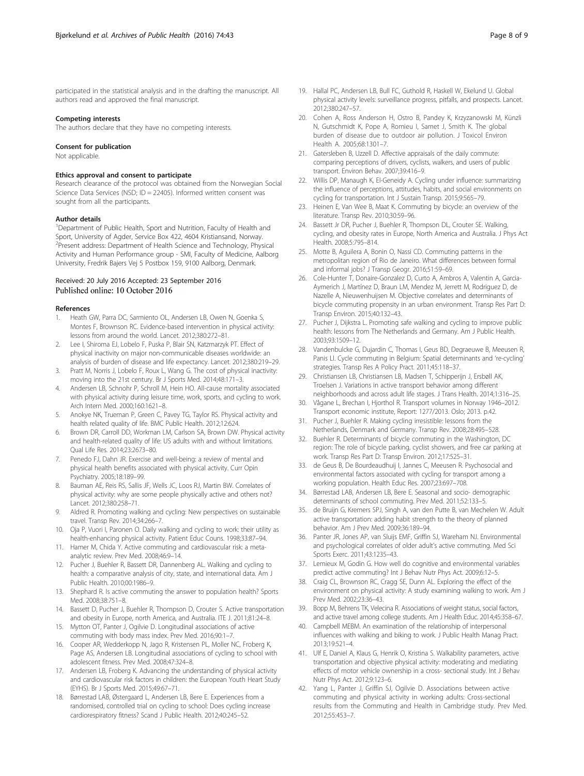<span id="page-7-0"></span>participated in the statistical analysis and in the drafting the manuscript. All authors read and approved the final manuscript.

#### Competing interests

The authors declare that they have no competing interests.

#### Consent for publication

Not applicable.

#### Ethics approval and consent to participate

Research clearance of the protocol was obtained from the Norwegian Social Science Data Services (NSD; ID = 22405). Informed written consent was sought from all the participants.

#### Author details

<sup>1</sup>Department of Public Health, Sport and Nutrition, Faculty of Health and Sport, University of Agder, Service Box 422, 4604 Kristiansand, Norway. <sup>2</sup>Present address: Department of Health Science and Technology, Physical Activity and Human Performance group - SMI, Faculty of Medicine, Aalborg University, Fredrik Bajers Vej 5 Postbox 159, 9100 Aalborg, Denmark.

#### Received: 20 July 2016 Accepted: 23 September 2016 Published online: 10 October 2016

#### References

- 1. Heath GW, Parra DC, Sarmiento OL, Andersen LB, Owen N, Goenka S, Montes F, Brownson RC. Evidence-based intervention in physical activity: lessons from around the world. Lancet. 2012;380:272–81.
- 2. Lee I, Shiroma EJ, Lobelo F, Puska P, Blair SN, Katzmarzyk PT. Effect of physical inactivity on major non-communicable diseases worldwide: an analysis of burden of disease and life expectancy. Lancet. 2012;380:219–29.
- 3. Pratt M, Norris J, Lobelo F, Roux L, Wang G. The cost of physical inactivity: moving into the 21st century. Br J Sports Med. 2014;48:171–3.
- 4. Andersen LB, Schnohr P, Schroll M, Hein HO. All-cause mortality associated with physical activity during leisure time, work, sports, and cycling to work. Arch Intern Med. 2000;160:1621–8.
- 5. Anokye NK, Trueman P, Green C, Pavey TG, Taylor RS. Physical activity and health related quality of life. BMC Public Health. 2012;12:624.
- 6. Brown DR, Carroll DD, Workman LM, Carlson SA, Brown DW. Physical activity and health-related quality of life: US adults with and without limitations. Qual Life Res. 2014;23:2673–80.
- 7. Penedo FJ, Dahn JR. Exercise and well-being: a review of mental and physical health benefits associated with physical activity. Curr Opin Psychiatry. 2005;18:189–99.
- 8. Bauman AE, Reis RS, Sallis JF, Wells JC, Loos RJ, Martin BW. Correlates of physical activity: why are some people physically active and others not? Lancet. 2012;380:258–71.
- Aldred R. Promoting walking and cycling: New perspectives on sustainable travel. Transp Rev. 2014;34:266–7.
- 10. Oja P, Vuori I, Paronen O. Daily walking and cycling to work: their utility as health-enhancing physical activity. Patient Educ Couns. 1998;33:87–94.
- 11. Hamer M, Chida Y. Active commuting and cardiovascular risk: a metaanalytic review. Prev Med. 2008;46:9–14.
- 12. Pucher J, Buehler R, Bassett DR, Dannenberg AL. Walking and cycling to health: a comparative analysis of city, state, and international data. Am J Public Health. 2010;00:1986–9.
- 13. Shephard R. Is active commuting the answer to population health? Sports Med. 2008;38:751–8.
- 14. Bassett D, Pucher J, Buehler R, Thompson D, Crouter S. Active transportation and obesity in Europe, north America, and Australia. ITE J. 2011;81:24–8.
- 15. Mytton OT, Panter J, Ogilvie D. Longitudinal associations of active commuting with body mass index. Prev Med. 2016;90:1–7.
- 16. Cooper AR, Wedderkopp N, Jago R, Kristensen PL, Moller NC, Froberg K, Page AS, Andersen LB. Longitudinal associations of cycling to school with adolescent fitness. Prev Med. 2008;47:324–8.
- 17. Andersen LB, Froberg K. Advancing the understanding of physical activity and cardiovascular risk factors in children: the European Youth Heart Study (EYHS). Br J Sports Med. 2015;49:67–71.
- 18. Børrestad LAB, Østergaard L, Andersen LB, Bere E. Experiences from a randomised, controlled trial on cycling to school: Does cycling increase cardiorespiratory fitness? Scand J Public Health. 2012;40:245–52.
- 19. Hallal PC, Andersen LB, Bull FC, Guthold R, Haskell W, Ekelund U. Global physical activity levels: surveillance progress, pitfalls, and prospects. Lancet. 2012;380:247–57.
- 20. Cohen A, Ross Anderson H, Ostro B, Pandey K, Krzyzanowski M, Künzli N, Gutschmidt K, Pope A, Romieu I, Samet J, Smith K. The global burden of disease due to outdoor air pollution. J Toxicol Environ Health A. 2005;68:1301–7.
- 21. Gatersleben B, Uzzell D. Affective appraisals of the daily commute: comparing perceptions of drivers, cyclists, walkers, and users of public transport. Environ Behav. 2007;39:416–9.
- 22. Willis DP, Manaugh K, El-Geneidy A. Cycling under influence: summarizing the influence of perceptions, attitudes, habits, and social environments on cycling for transportation. Int J Sustain Transp. 2015;9:565–79.
- 23. Heinen E, Van Wee B, Maat K. Commuting by bicycle: an overview of the literature. Transp Rev. 2010;30:59–96.
- 24. Bassett Jr DR, Pucher J, Buehler R, Thompson DL, Crouter SE. Walking, cycling, and obesity rates in Europe, North America and Australia. J Phys Act Health. 2008;5:795–814.
- 25. Motte B, Aguilera A, Bonin O, Nassi CD. Commuting patterns in the metropolitan region of Rio de Janeiro. What differences between formal and informal jobs? J Transp Geogr. 2016;51:59–69.
- 26. Cole-Hunter T, Donaire-Gonzalez D, Curto A, Ambros A, Valentin A, Garcia-Aymerich J, Martínez D, Braun LM, Mendez M, Jerrett M, Rodriguez D, de Nazelle A, Nieuwenhuijsen M. Objective correlates and determinants of bicycle commuting propensity in an urban environment. Transp Res Part D: Transp Environ. 2015;40:132–43.
- 27. Pucher J, Dijkstra L. Promoting safe walking and cycling to improve public health: lessons from The Netherlands and Germany. Am J Public Health. 2003;93:1509–12.
- 28. Vandenbulcke G, Dujardin C, Thomas I, Geus BD, Degraeuwe B, Meeusen R, Panis LI. Cycle commuting in Belgium: Spatial determinants and 're-cycling' strategies. Transp Res A Policy Pract. 2011;45:118–37.
- 29. Christiansen LB, Christiansen LB, Madsen T, Schipperijn J, Ersbøll AK, Troelsen J. Variations in active transport behavior among different neighborhoods and across adult life stages. J Trans Health. 2014;1:316–25.
- 30. Vågane L, Brechan I, Hjorthol R. Transport volumes in Norway 1946–2012. Transport economic institute, Report: 1277/2013. Oslo; 2013. p.42.
- 31. Pucher J, Buehler R. Making cycling irresistible: lessons from the Netherlands, Denmark and Germany. Transp Rev. 2008;28:495–528.
- 32. Buehler R. Determinants of bicycle commuting in the Washington, DC region: The role of bicycle parking, cyclist showers, and free car parking at work. Transp Res Part D: Transp Environ. 2012;17:525–31.
- 33. de Geus B, De Bourdeaudhuij I, Jannes C, Meeusen R. Psychosocial and environmental factors associated with cycling for transport among a working population. Health Educ Res. 2007;23:697–708.
- 34. Børrestad LAB, Andersen LB, Bere E. Seasonal and socio- demographic determinants of school commuting. Prev Med. 2011;52:133–5.
- 35. de Bruijn G, Kremers SPJ, Singh A, van den Putte B, van Mechelen W. Adult active transportation: adding habit strength to the theory of planned behavior. Am J Prev Med. 2009;36:189–94.
- 36. Panter JR, Jones AP, van Sluijs EMF, Griffin SJ, Wareham NJ. Environmental and psychological correlates of older adult's active commuting. Med Sci Sports Exerc. 2011;43:1235–43.
- 37. Lemieux M, Godin G. How well do cognitive and environmental variables predict active commuting? Int J Behav Nutr Phys Act. 2009;6:12–5.
- 38. Craig CL, Brownson RC, Cragg SE, Dunn AL. Exploring the effect of the environment on physical activity: A study examining walking to work. Am J Prev Med. 2002;23:36–43.
- 39. Bopp M, Behrens TK, Velecina R. Associations of weight status, social factors, and active travel among college students. Am J Health Educ. 2014;45:358–67.
- 40. Campbell MEBM. An examination of the relationship of interpersonal influences with walking and biking to work. J Public Health Manag Pract. 2013;19:521–4.
- 41. Ulf E, Daniel A, Klaus G, Henrik O, Kristina S. Walkability parameters, active transportation and objective physical activity: moderating and mediating effects of motor vehicle ownership in a cross- sectional study. Int J Behav Nutr Phys Act. 2012;9:123–6.
- 42. Yang L, Panter J, Griffin SJ, Ogilvie D. Associations between active commuting and physical activity in working adults: Cross-sectional results from the Commuting and Health in Cambridge study. Prev Med. 2012;55:453–7.